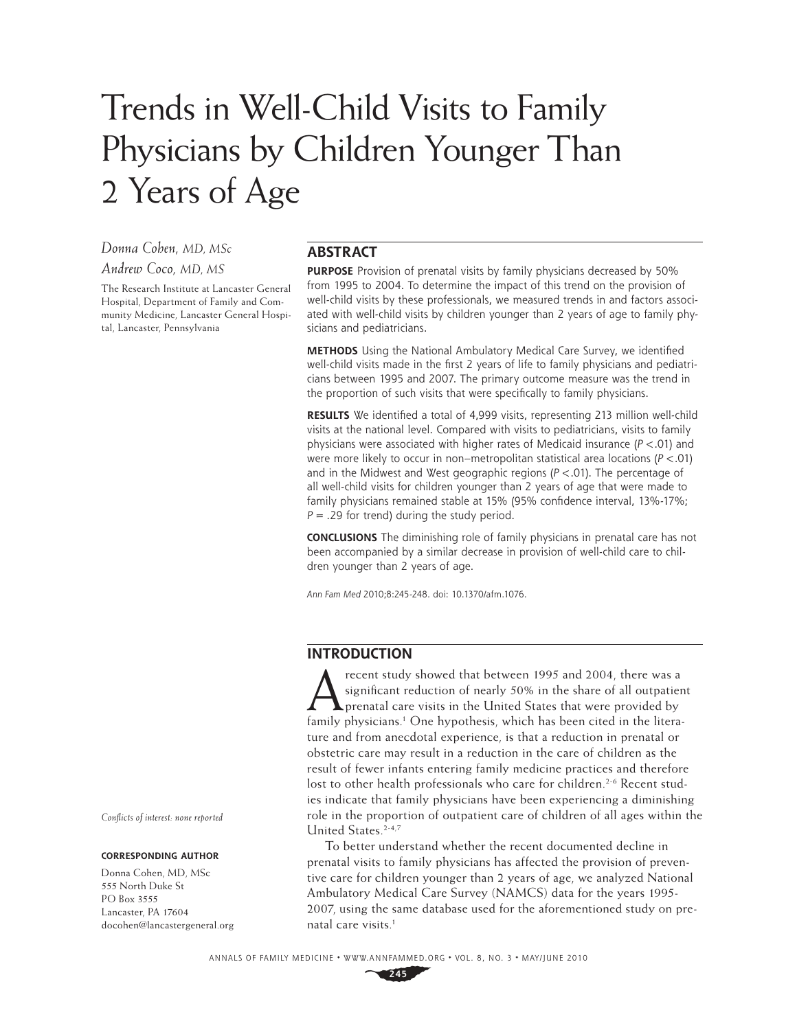# Trends in Well-Child Visits to Family Physicians by Children Younger Than 2 Years of Age

*Donna Cohen, MD, MSc*

## *Andrew Coco, MD, MS*

The Research Institute at Lancaster General Hospital, Department of Family and Community Medicine, Lancaster General Hospital, Lancaster, Pennsylvania

## **ABSTRACT**

**PURPOSE** Provision of prenatal visits by family physicians decreased by 50% from 1995 to 2004. To determine the impact of this trend on the provision of well-child visits by these professionals, we measured trends in and factors associated with well-child visits by children younger than 2 years of age to family physicians and pediatricians.

**METHODS** Using the National Ambulatory Medical Care Survey, we identified well-child visits made in the first 2 years of life to family physicians and pediatricians between 1995 and 2007. The primary outcome measure was the trend in the proportion of such visits that were specifically to family physicians.

**RESULTS** We identified a total of 4,999 visits, representing 213 million well-child visits at the national level. Compared with visits to pediatricians, visits to family physicians were associated with higher rates of Medicaid insurance ( $P < .01$ ) and were more likely to occur in non–metropolitan statistical area locations ( $P < .01$ ) and in the Midwest and West geographic regions ( $P < .01$ ). The percentage of all well-child visits for children younger than 2 years of age that were made to family physicians remained stable at 15% (95% confidence interval, 13%-17%;  $P = .29$  for trend) during the study period.

**CONCLUSIONS** The diminishing role of family physicians in prenatal care has not been accompanied by a similar decrease in provision of well-child care to children younger than 2 years of age.

Ann Fam Med 2010;8:245-248. doi: 10.1370/afm.1076.

# **INTRODUCTION**

recent study showed that between 1995 and 2004, there was a significant reduction of nearly 50% in the share of all outpatier prenatal care visits in the United States that were provided by family abusisians and One bunche significant reduction of nearly 50% in the share of all outpatient **A** prenatal care visits in the United States that were provided by family physicians.<sup>1</sup> One hypothesis, which has been cited in the literature and from anecdotal experience, is that a reduction in prenatal or obstetric care may result in a reduction in the care of children as the result of fewer infants entering family medicine practices and therefore lost to other health professionals who care for children.<sup>2-6</sup> Recent studies indicate that family physicians have been experiencing a diminishing role in the proportion of outpatient care of children of all ages within the United States.2-4,7

To better understand whether the recent documented decline in prenatal visits to family physicians has affected the provision of preventive care for children younger than 2 years of age, we analyzed National Ambulatory Medical Care Survey (NAMCS) data for the years 1995- 2007, using the same database used for the aforementioned study on prenatal care visits.<sup>1</sup>

*Confl icts of interest: none reported*

#### **CORRESPONDING AUTHOR**

Donna Cohen, MD, MSc 555 North Duke St PO Box 3555 Lancaster, PA 17604 docohen@lancastergeneral.org

ANNALS OF FAMILY MEDICINE ✦ WWW.ANNFAMMED.ORG ✦ VOL. 8, NO. 3 ✦ MAY/JUNE 2010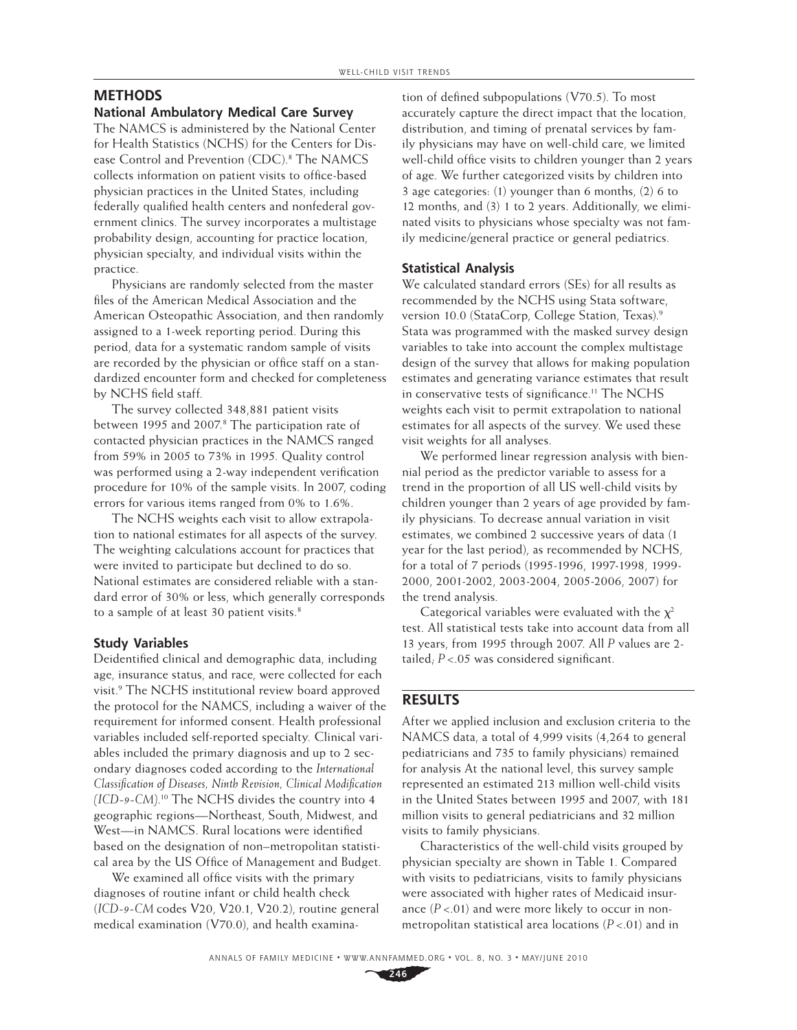## **METHODS**

#### **National Ambulatory Medical Care Survey**

The NAMCS is administered by the National Center for Health Statistics (NCHS) for the Centers for Disease Control and Prevention (CDC).<sup>8</sup> The NAMCS collects information on patient visits to office-based physician practices in the United States, including federally qualified health centers and nonfederal government clinics. The survey incorporates a multistage probability design, accounting for practice location, physician specialty, and individual visits within the practice.

Physicians are randomly selected from the master files of the American Medical Association and the American Osteopathic Association, and then randomly assigned to a 1-week reporting period. During this period, data for a systematic random sample of visits are recorded by the physician or office staff on a standardized encounter form and checked for completeness by NCHS field staff.

The survey collected 348,881 patient visits between 1995 and 2007.<sup>8</sup> The participation rate of contacted physician practices in the NAMCS ranged from 59% in 2005 to 73% in 1995. Quality control was performed using a 2-way independent verification procedure for 10% of the sample visits. In 2007, coding errors for various items ranged from 0% to 1.6%.

The NCHS weights each visit to allow extrapolation to national estimates for all aspects of the survey. The weighting calculations account for practices that were invited to participate but declined to do so. National estimates are considered reliable with a standard error of 30% or less, which generally corresponds to a sample of at least 30 patient visits.<sup>8</sup>

## **Study Variables**

Deidentified clinical and demographic data, including age, insurance status, and race, were collected for each visit.9 The NCHS institutional review board approved the protocol for the NAMCS, including a waiver of the requirement for informed consent. Health professional variables included self-reported specialty. Clinical variables included the primary diagnosis and up to 2 secondary diagnoses coded according to the *International Classification of Diseases, Ninth Revision, Clinical Modification (ICD-9-CM)*. 10 The NCHS divides the country into 4 geographic regions—Northeast, South, Midwest, and West—in NAMCS. Rural locations were identified based on the designation of non–metropolitan statistical area by the US Office of Management and Budget.

We examined all office visits with the primary diagnoses of routine infant or child health check (*ICD-9-CM* codes V20, V20.1, V20.2), routine general medical examination (V70.0), and health examina-

tion of defined subpopulations  $(V70.5)$ . To most accurately capture the direct impact that the location, distribution, and timing of prenatal services by family physicians may have on well-child care, we limited well-child office visits to children younger than 2 years of age. We further categorized visits by children into 3 age categories: (1) younger than 6 months, (2) 6 to 12 months, and (3) 1 to 2 years. Additionally, we eliminated visits to physicians whose specialty was not family medicine/general practice or general pediatrics.

#### **Statistical Analysis**

We calculated standard errors (SEs) for all results as recommended by the NCHS using Stata software, version 10.0 (StataCorp, College Station, Texas).9 Stata was programmed with the masked survey design variables to take into account the complex multistage design of the survey that allows for making population estimates and generating variance estimates that result in conservative tests of significance.<sup>11</sup> The NCHS weights each visit to permit extrapolation to national estimates for all aspects of the survey. We used these visit weights for all analyses.

We performed linear regression analysis with biennial period as the predictor variable to assess for a trend in the proportion of all US well-child visits by children younger than 2 years of age provided by family physicians. To decrease annual variation in visit estimates, we combined 2 successive years of data (1 year for the last period), as recommended by NCHS, for a total of 7 periods (1995-1996, 1997-1998, 1999- 2000, 2001-2002, 2003-2004, 2005-2006, 2007) for the trend analysis.

Categorical variables were evaluated with the  $\chi^2$ test. All statistical tests take into account data from all 13 years, from 1995 through 2007. All *P* values are 2 tailed;  $P < 05$  was considered significant.

### **RESULTS**

After we applied inclusion and exclusion criteria to the NAMCS data, a total of 4,999 visits (4,264 to general pediatricians and 735 to family physicians) remained for analysis At the national level, this survey sample represented an estimated 213 million well-child visits in the United States between 1995 and 2007, with 181 million visits to general pediatricians and 32 million visits to family physicians.

Characteristics of the well-child visits grouped by physician specialty are shown in Table 1. Compared with visits to pediatricians, visits to family physicians were associated with higher rates of Medicaid insurance  $(P < .01)$  and were more likely to occur in nonmetropolitan statistical area locations (*P* <.01) and in

ANNALS OF FAMILY MEDICINE ✦ WWW.ANNFAMMED.ORG ✦ VOL. 8, NO. 3 ✦ MAY/JUNE 2010

**246**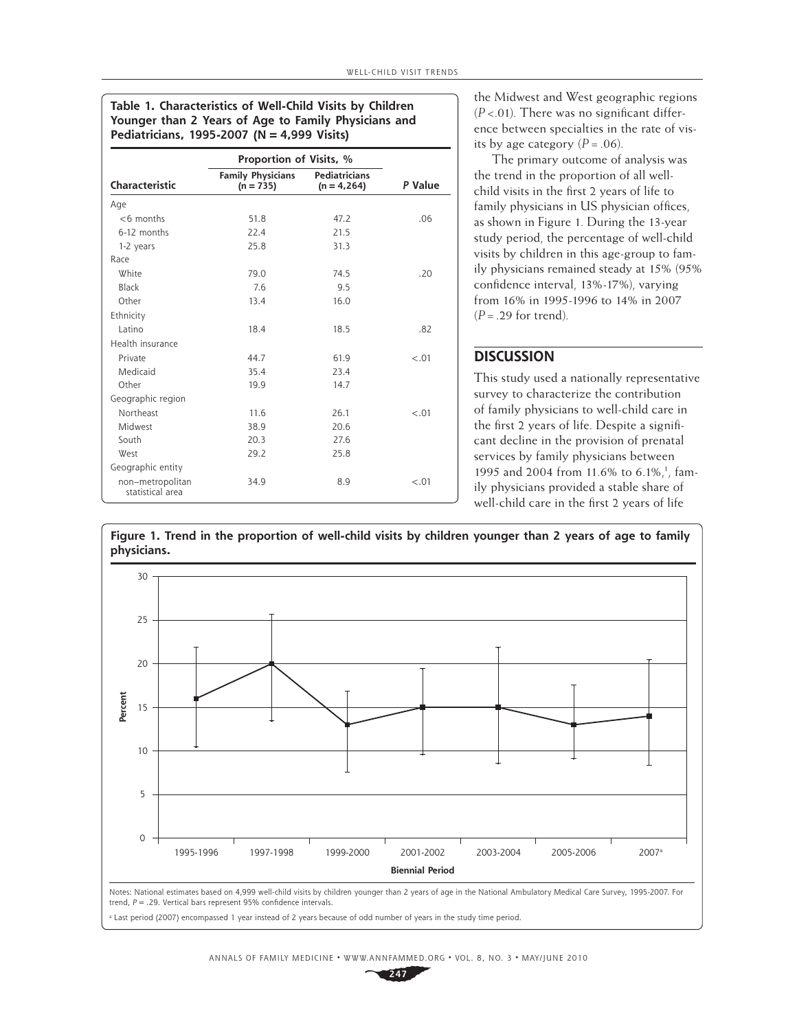**Table 1. Characteristics of Well-Child Visits by Children Younger than 2 Years of Age to Family Physicians and Pediatricians, 1995-2007 (N = 4,999 Visits)**

|                                      | Proportion of Visits, %                 |                                       |         |
|--------------------------------------|-----------------------------------------|---------------------------------------|---------|
| Characteristic                       | <b>Family Physicians</b><br>$(n = 735)$ | <b>Pediatricians</b><br>$(n = 4,264)$ | P Value |
| Age                                  |                                         |                                       |         |
| $<$ 6 months                         | 51.8                                    | 47.2                                  | .06     |
| 6-12 months                          | 22.4                                    | 21.5                                  |         |
| 1-2 years                            | 25.8                                    | 31.3                                  |         |
| Race                                 |                                         |                                       |         |
| White                                | 79.0                                    | 74.5                                  | .20     |
| Black                                | 7.6                                     | 9.5                                   |         |
| Other                                | 13.4                                    | 16.0                                  |         |
| Ethnicity                            |                                         |                                       |         |
| Latino                               | 18.4                                    | 18.5                                  | .82     |
| Health insurance                     |                                         |                                       |         |
| Private                              | 44.7                                    | 61.9                                  | $-.01$  |
| Medicaid                             | 35.4                                    | 23.4                                  |         |
| Other                                | 19.9                                    | 14.7                                  |         |
| Geographic region                    |                                         |                                       |         |
| Northeast                            | 11.6                                    | 26.1                                  | $-.01$  |
| Midwest                              | 38.9                                    | 20.6                                  |         |
| South                                | 20.3                                    | 27.6                                  |         |
| <b>West</b>                          | 29.2                                    | 25.8                                  |         |
| Geographic entity                    |                                         |                                       |         |
| non-metropolitan<br>statistical area | 34.9                                    | 8.9                                   | $-.01$  |

the Midwest and West geographic regions  $(P<.01)$ . There was no significant difference between specialties in the rate of visits by age category  $(P=.06)$ .

The primary outcome of analysis was the trend in the proportion of all wellchild visits in the first 2 years of life to family physicians in US physician offices, as shown in Figure 1. During the 13-year study period, the percentage of well-child visits by children in this age-group to family physicians remained steady at 15% (95% confidence interval, 13%-17%), varying from 16% in 1995-1996 to 14% in 2007 (*P* = .29 for trend).

## **DISCUSSION**

This study used a nationally representative survey to characterize the contribution of family physicians to well-child care in the first 2 years of life. Despite a significant decline in the provision of prenatal services by family physicians between 1995 and 2004 from 11.6% to 6.1%,<sup>1</sup>, family physicians provided a stable share of well-child care in the first 2 years of life

**Figure 1. Trend in the proportion of well-child visits by children younger than 2 years of age to family physicians.**



Last period (2007) encompassed 1 year instead of 2 years because of odd number of years in the study time period.